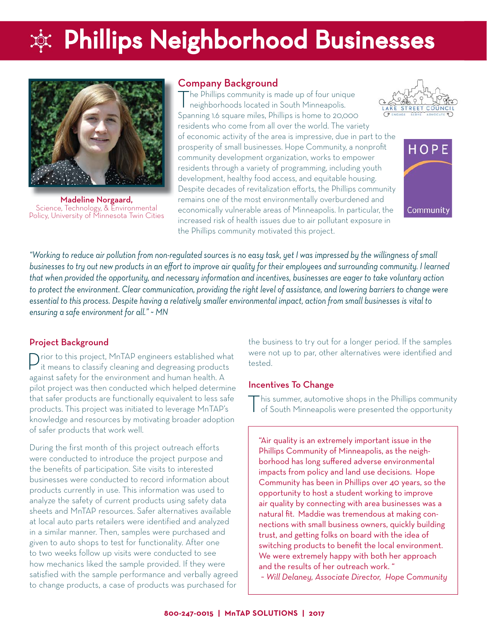# $\dot{\varphi}$ : Phillips Neighborhood Businesses



Madeline Norgaard, Science, Technology, & Environmental Policy, University of Minnesota Twin Cities

### Company Background

The Phillips community is made up of four unique<br>
neighborhoods located in South Minneapolis. Spanning 1.6 square miles, Phillips is home to 20,000 residents who come from all over the world. The variety of economic activity of the area is impressive, due in part to the prosperity of small businesses. Hope Community, a nonprofit community development organization, works to empower residents through a variety of programming, including youth development, healthy food access, and equitable housing. Despite decades of revitalization efforts, the Phillips community remains one of the most environmentally overburdened and economically vulnerable areas of Minneapolis. In particular, the increased risk of health issues due to air pollutant exposure in the Phillips community motivated this project.





*"Working to reduce air pollution from non-regulated sources is no easy task, yet I was impressed by the willingness of small*  businesses to try out new products in an effort to improve air quality for their employees and surrounding community. I learned *that when provided the opportunity, and necessary information and incentives, businesses are eager to take voluntary action*  to protect the environment. Clear communication, providing the right level of assistance, and lowering barriers to change were *essential to this process. Despite having a relatively smaller environmental impact, action from small businesses is vital to ensuring a safe environment for all." ~ MN* 

## Project Background

Prior to this project, MnTAP engineers established what it means to classify cleaning and degreasing products against safety for the environment and human health. A pilot project was then conducted which helped determine that safer products are functionally equivalent to less safe products. This project was initiated to leverage MnTAP's knowledge and resources by motivating broader adoption of safer products that work well.

During the first month of this project outreach efforts were conducted to introduce the project purpose and the benefits of participation. Site visits to interested businesses were conducted to record information about products currently in use. This information was used to analyze the safety of current products using safety data sheets and MnTAP resources. Safer alternatives available at local auto parts retailers were identified and analyzed in a similar manner. Then, samples were purchased and given to auto shops to test for functionality. After one to two weeks follow up visits were conducted to see how mechanics liked the sample provided. If they were satisfied with the sample performance and verbally agreed to change products, a case of products was purchased for

the business to try out for a longer period. If the samples were not up to par, other alternatives were identified and tested.

### Incentives To Change

This summer, automotive shops in the Phillips community of South Minneapolis were presented the opportunity

"Air quality is an extremely important issue in the Phillips Community of Minneapolis, as the neighborhood has long suffered adverse environmental impacts from policy and land use decisions. Hope Community has been in Phillips over 40 years, so the opportunity to host a student working to improve air quality by connecting with area businesses was a natural fit. Maddie was tremendous at making connections with small business owners, quickly building trust, and getting folks on board with the idea of switching products to benefit the local environment. We were extremely happy with both her approach and the results of her outreach work. "

*~ Will Delaney, Associate Director, Hope Community*